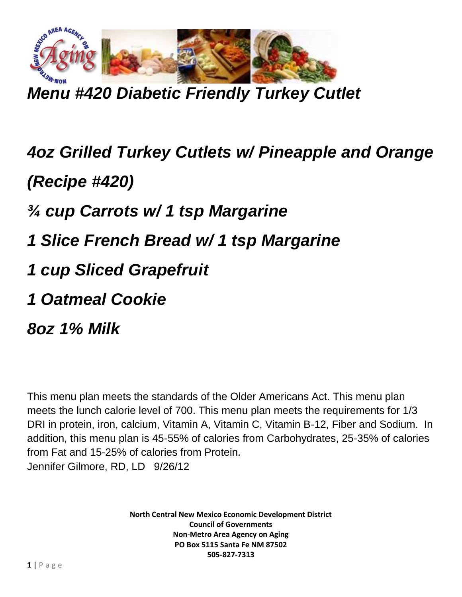

*Menu #420 Diabetic Friendly Turkey Cutlet*

## *4oz Grilled Turkey Cutlets w/ Pineapple and Orange (Recipe #420) ¾ cup Carrots w/ 1 tsp Margarine*

- *1 Slice French Bread w/ 1 tsp Margarine*
- *1 cup Sliced Grapefruit*
- *1 Oatmeal Cookie*
- *8oz 1% Milk*

This menu plan meets the standards of the Older Americans Act. This menu plan meets the lunch calorie level of 700. This menu plan meets the requirements for 1/3 DRI in protein, iron, calcium, Vitamin A, Vitamin C, Vitamin B-12, Fiber and Sodium. In addition, this menu plan is 45-55% of calories from Carbohydrates, 25-35% of calories from Fat and 15-25% of calories from Protein. Jennifer Gilmore, RD, LD 9/26/12

> **North Central New Mexico Economic Development District Council of Governments Non-Metro Area Agency on Aging PO Box 5115 Santa Fe NM 87502 505-827-7313**